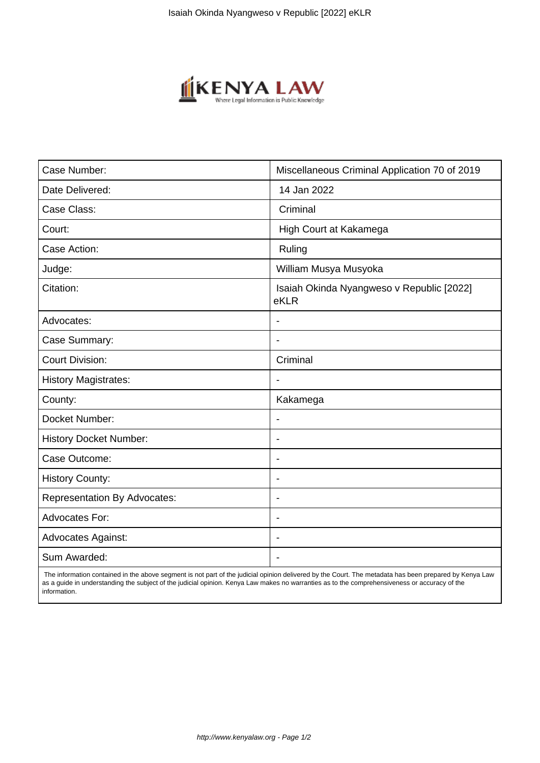

| Case Number:                        | Miscellaneous Criminal Application 70 of 2019     |
|-------------------------------------|---------------------------------------------------|
| Date Delivered:                     | 14 Jan 2022                                       |
| Case Class:                         | Criminal                                          |
| Court:                              | High Court at Kakamega                            |
| Case Action:                        | Ruling                                            |
| Judge:                              | William Musya Musyoka                             |
| Citation:                           | Isaiah Okinda Nyangweso v Republic [2022]<br>eKLR |
| Advocates:                          |                                                   |
| Case Summary:                       | ٠                                                 |
| <b>Court Division:</b>              | Criminal                                          |
| <b>History Magistrates:</b>         | $\blacksquare$                                    |
| County:                             | Kakamega                                          |
| Docket Number:                      |                                                   |
| <b>History Docket Number:</b>       | Ĭ.                                                |
| Case Outcome:                       |                                                   |
| <b>History County:</b>              | $\overline{\phantom{a}}$                          |
| <b>Representation By Advocates:</b> | $\blacksquare$                                    |
| <b>Advocates For:</b>               | ٠                                                 |
| <b>Advocates Against:</b>           |                                                   |
| Sum Awarded:                        |                                                   |

 The information contained in the above segment is not part of the judicial opinion delivered by the Court. The metadata has been prepared by Kenya Law as a guide in understanding the subject of the judicial opinion. Kenya Law makes no warranties as to the comprehensiveness or accuracy of the information.